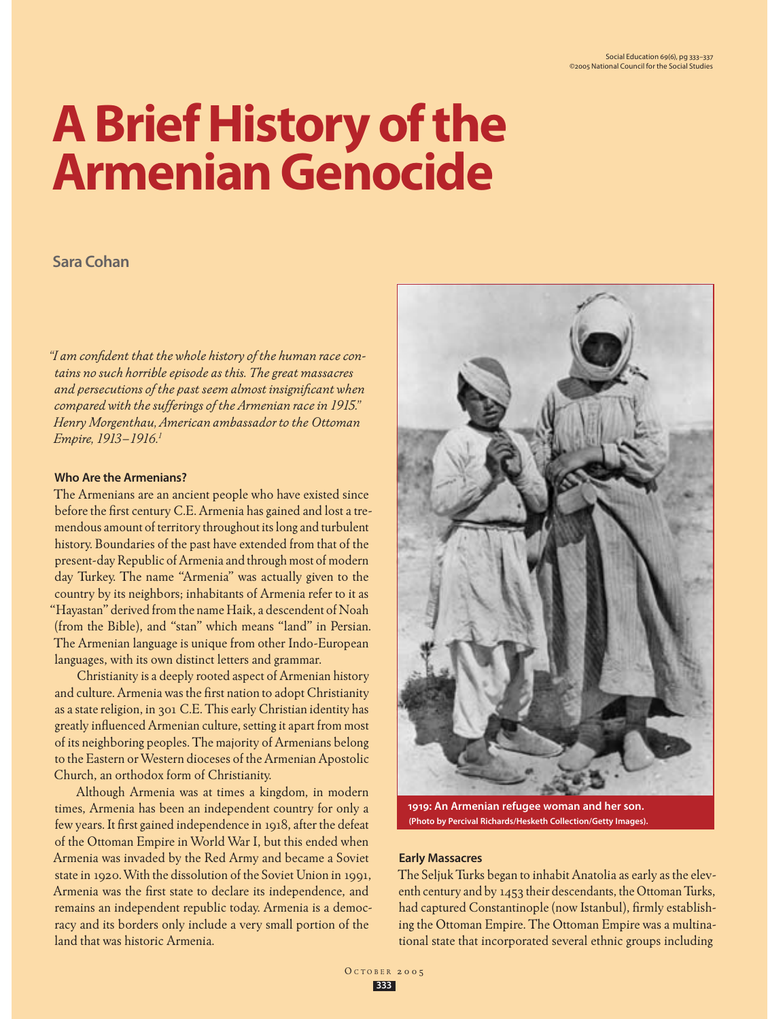# **A Brief History of the Armenian Genocide**

## **Sara Cohan**

*"I am confident that the whole history of the human race contains no such horrible episode as this. The great massacres and persecutions of the past seem almost insignificant when compared with the sufferings of the Armenian race in 1915." Henry Morgenthau, American ambassador to the Ottoman Empire, 1913–1916.1*

## **Who Are the Armenians?**

The Armenians are an ancient people who have existed since before the first century C.E. Armenia has gained and lost a tremendous amount of territory throughout its long and turbulent history. Boundaries of the past have extended from that of the present-day Republic of Armenia and through most of modern day Turkey. The name "Armenia" was actually given to the country by its neighbors; inhabitants of Armenia refer to it as "Hayastan" derived from the name Haik, a descendent of Noah (from the Bible), and "stan" which means "land" in Persian. The Armenian language is unique from other Indo-European languages, with its own distinct letters and grammar.

Christianity is a deeply rooted aspect of Armenian history and culture. Armenia was the first nation to adopt Christianity as a state religion, in 301 C.E. This early Christian identity has greatly influenced Armenian culture, setting it apart from most of its neighboring peoples. The majority of Armenians belong to the Eastern or Western dioceses of the Armenian Apostolic Church, an orthodox form of Christianity.

Although Armenia was at times a kingdom, in modern times, Armenia has been an independent country for only a few years. It first gained independence in 1918, after the defeat of the Ottoman Empire in World War I, but this ended when Armenia was invaded by the Red Army and became a Soviet state in 1920. With the dissolution of the Soviet Union in 1991, Armenia was the first state to declare its independence, and remains an independent republic today. Armenia is a democracy and its borders only include a very small portion of the land that was historic Armenia.



**1919: An Armenian refugee woman and her son. (Photo by Percival Richards/Hesketh Collection/Getty Images).**

## **Early Massacres**

The Seljuk Turks began to inhabit Anatolia as early as the eleventh century and by 1453 their descendants, the Ottoman Turks, had captured Constantinople (now Istanbul), firmly establishing the Ottoman Empire. The Ottoman Empire was a multinational state that incorporated several ethnic groups including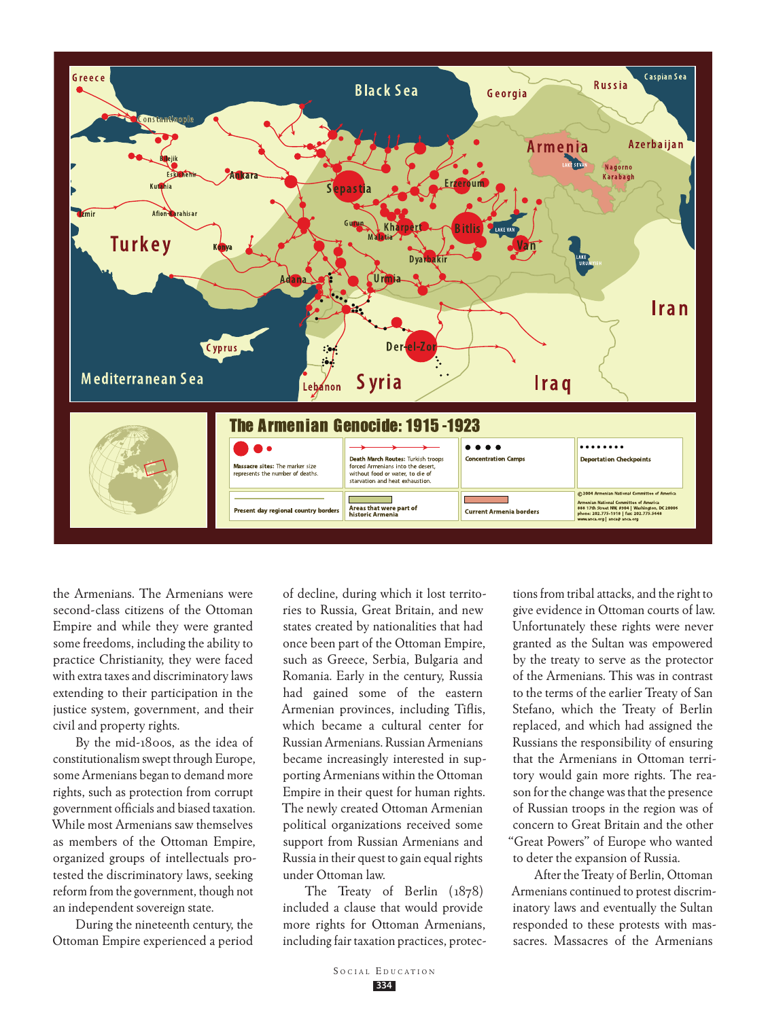

the Armenians. The Armenians were second-class citizens of the Ottoman Empire and while they were granted some freedoms, including the ability to practice Christianity, they were faced with extra taxes and discriminatory laws extending to their participation in the justice system, government, and their civil and property rights.

By the mid-1800s, as the idea of constitutionalism swept through Europe, some Armenians began to demand more rights, such as protection from corrupt government officials and biased taxation. While most Armenians saw themselves as members of the Ottoman Empire, organized groups of intellectuals protested the discriminatory laws, seeking reform from the government, though not an independent sovereign state.

During the nineteenth century, the Ottoman Empire experienced a period

of decline, during which it lost territories to Russia, Great Britain, and new states created by nationalities that had once been part of the Ottoman Empire, such as Greece, Serbia, Bulgaria and Romania. Early in the century, Russia had gained some of the eastern Armenian provinces, including Tiflis, which became a cultural center for Russian Armenians. Russian Armenians became increasingly interested in supporting Armenians within the Ottoman Empire in their quest for human rights. The newly created Ottoman Armenian political organizations received some support from Russian Armenians and Russia in their quest to gain equal rights under Ottoman law.

The Treaty of Berlin (1878) included a clause that would provide more rights for Ottoman Armenians, including fair taxation practices, protec-

tions from tribal attacks, and the right to give evidence in Ottoman courts of law. Unfortunately these rights were never granted as the Sultan was empowered by the treaty to serve as the protector of the Armenians. This was in contrast to the terms of the earlier Treaty of San Stefano, which the Treaty of Berlin replaced, and which had assigned the Russians the responsibility of ensuring that the Armenians in Ottoman territory would gain more rights. The reason for the change was that the presence of Russian troops in the region was of concern to Great Britain and the other "Great Powers" of Europe who wanted to deter the expansion of Russia.

After the Treaty of Berlin, Ottoman Armenians continued to protest discriminatory laws and eventually the Sultan responded to these protests with massacres. Massacres of the Armenians

**334**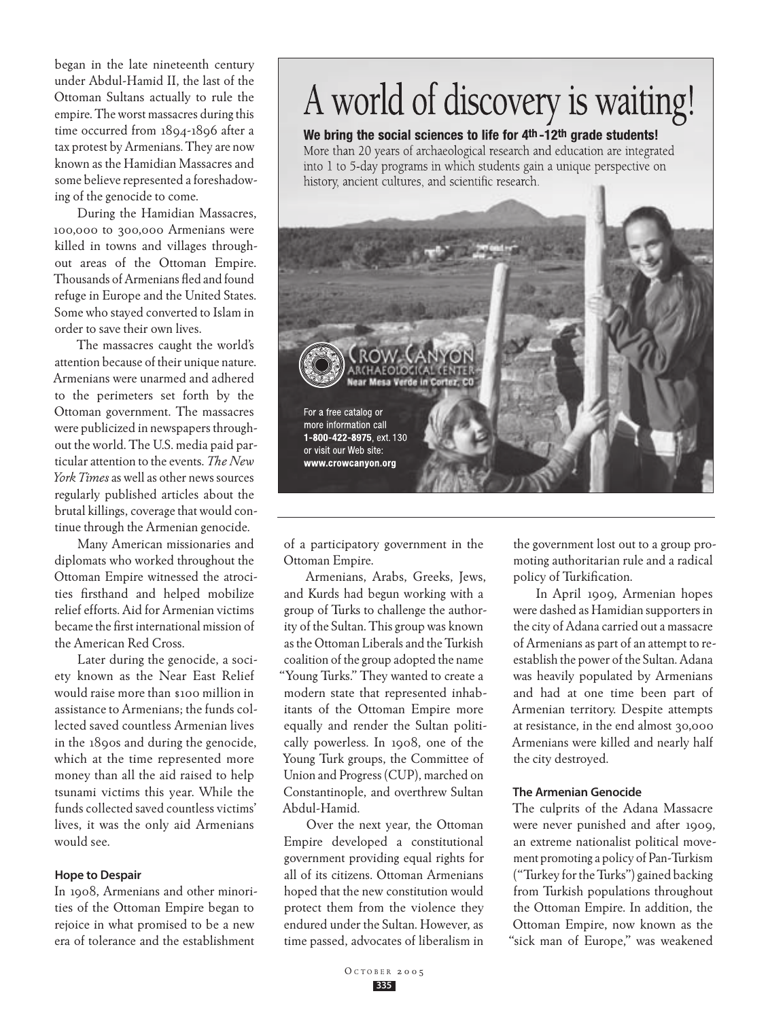began in the late nineteenth century under Abdul-Hamid II, the last of the Ottoman Sultans actually to rule the empire. The worst massacres during this time occurred from 1894-1896 after a tax protest by Armenians. They are now known as the Hamidian Massacres and some believe represented a foreshadowing of the genocide to come.

During the Hamidian Massacres, 100,000 to 300,000 Armenians were killed in towns and villages throughout areas of the Ottoman Empire. Thousands of Armenians fled and found refuge in Europe and the United States. Some who stayed converted to Islam in order to save their own lives.

The massacres caught the world's attention because of their unique nature. Armenians were unarmed and adhered to the perimeters set forth by the Ottoman government. The massacres were publicized in newspapers throughout the world. The U.S. media paid particular attention to the events. *The New York Times* as well as other news sources regularly published articles about the brutal killings, coverage that would continue through the Armenian genocide.

Many American missionaries and diplomats who worked throughout the Ottoman Empire witnessed the atrocities firsthand and helped mobilize relief efforts. Aid for Armenian victims became the first international mission of the American Red Cross.

Later during the genocide, a society known as the Near East Relief would raise more than \$100 million in assistance to Armenians; the funds collected saved countless Armenian lives in the 1890s and during the genocide, which at the time represented more money than all the aid raised to help tsunami victims this year. While the funds collected saved countless victims' lives, it was the only aid Armenians would see.

## **Hope to Despair**

In 1908, Armenians and other minorities of the Ottoman Empire began to rejoice in what promised to be a new era of tolerance and the establishment

## A world of discovery is waiting!

## We bring the social sciences to life for 4th-12th grade students!

More than 20 years of archaeological research and education are integrated into 1 to 5-day programs in which students gain a unique perspective on history, ancient cultures, and scientific research.



of a participatory government in the Ottoman Empire.

Armenians, Arabs, Greeks, Jews, and Kurds had begun working with a group of Turks to challenge the authority of the Sultan. This group was known as the Ottoman Liberals and the Turkish coalition of the group adopted the name "Young Turks." They wanted to create a modern state that represented inhabitants of the Ottoman Empire more equally and render the Sultan politically powerless. In 1908, one of the Young Turk groups, the Committee of Union and Progress (CUP), marched on Constantinople, and overthrew Sultan Abdul-Hamid.

Over the next year, the Ottoman Empire developed a constitutional government providing equal rights for all of its citizens. Ottoman Armenians hoped that the new constitution would protect them from the violence they endured under the Sultan. However, as time passed, advocates of liberalism in

the government lost out to a group promoting authoritarian rule and a radical policy of Turkification.

In April 1909, Armenian hopes were dashed as Hamidian supporters in the city of Adana carried out a massacre of Armenians as part of an attempt to reestablish the power of the Sultan. Adana was heavily populated by Armenians and had at one time been part of Armenian territory. Despite attempts at resistance, in the end almost 30,000 Armenians were killed and nearly half the city destroyed.

## **The Armenian Genocide**

The culprits of the Adana Massacre were never punished and after 1909, an extreme nationalist political movement promoting a policy of Pan-Turkism ("Turkey for the Turks") gained backing from Turkish populations throughout the Ottoman Empire. In addition, the Ottoman Empire, now known as the "sick man of Europe," was weakened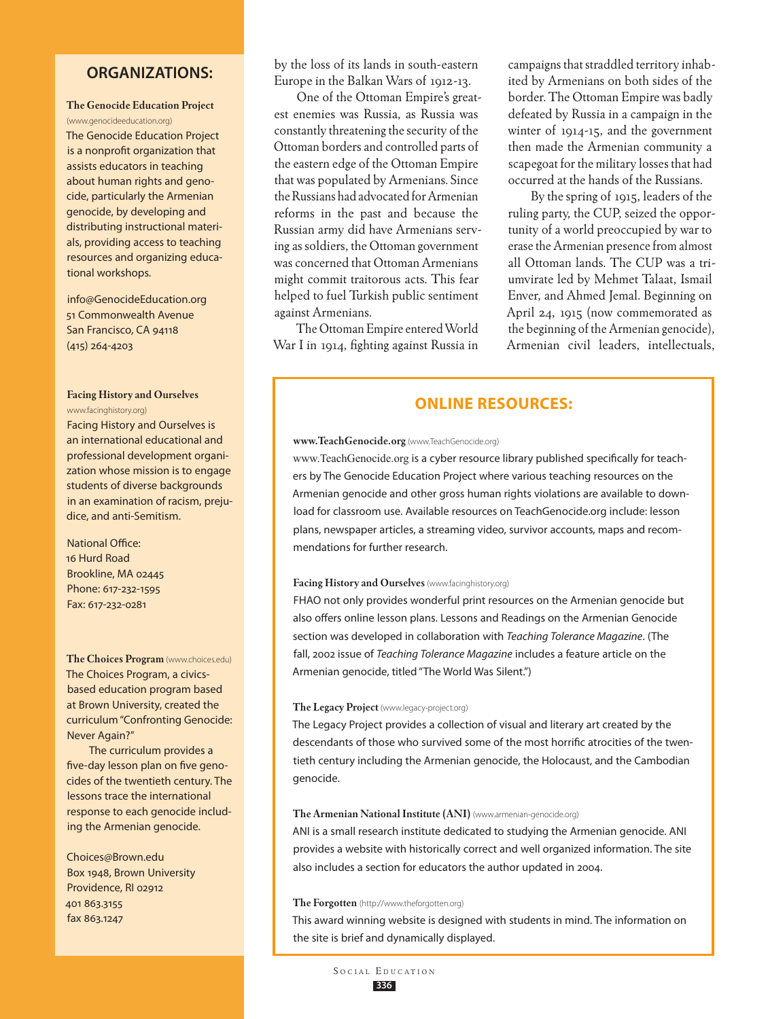## **Organizations:**

## **The Genocide Education Project**

(www.genocideeducation.org) The Genocide Education Project is a nonprofit organization that assists educators in teaching about human rights and genocide, particularly the Armenian genocide, by developing and distributing instructional materials, providing access to teaching resources and organizing educational workshops.

info@GenocideEducation.org 51 Commonwealth Avenue San Francisco, CA 94118 (415) 264-4203

## **Facing History and Ourselves** www.facinghistory.org)

Facing History and Ourselves is an international educational and professional development organization whose mission is to engage students of diverse backgrounds in an examination of racism, prejudice, and anti-Semitism.

## National Office: 16 Hurd Road Brookline, MA 02445 Phone: 617-232-1595 Fax: 617-232-0281

**The Choices Program** (www.choices.edu) The Choices Program, a civicsbased education program based at Brown University, created the curriculum "Confronting Genocide: Never Again?"

The curriculum provides a five-day lesson plan on five genocides of the twentieth century. The lessons trace the international response to each genocide including the Armenian genocide.

Choices@Brown.edu Box 1948, Brown University Providence, RI 02912 401 863.3155 fax 863.1247

by the loss of its lands in south-eastern Europe in the Balkan Wars of 1912-13.

One of the Ottoman Empire's greatest enemies was Russia, as Russia was constantly threatening the security of the Ottoman borders and controlled parts of the eastern edge of the Ottoman Empire that was populated by Armenians. Since the Russians had advocated for Armenian reforms in the past and because the Russian army did have Armenians serving as soldiers, the Ottoman government was concerned that Ottoman Armenians might commit traitorous acts. This fear helped to fuel Turkish public sentiment against Armenians.

The Ottoman Empire entered World War I in 1914, fighting against Russia in

campaigns that straddled territory inhabited by Armenians on both sides of the border. The Ottoman Empire was badly defeated by Russia in a campaign in the winter of 1914-15, and the government then made the Armenian community a scapegoat for the military losses that had occurred at the hands of the Russians.

By the spring of 1915, leaders of the ruling party, the CUP, seized the opportunity of a world preoccupied by war to erase the Armenian presence from almost all Ottoman lands. The CUP was a triumvirate led by Mehmet Talaat, Ismail Enver, and Ahmed Jemal. Beginning on April 24, 1915 (now commemorated as the beginning of the Armenian genocide), Armenian civil leaders, intellectuals,

## **Online Resources:**

#### **www.TeachGenocide.org** (www.TeachGenocide.org)

www.TeachGenocide.org is a cyber resource library published specifically for teachers by The Genocide Education Project where various teaching resources on the Armenian genocide and other gross human rights violations are available to download for classroom use. Available resources on TeachGenocide.org include: lesson plans, newspaper articles, a streaming video, survivor accounts, maps and recommendations for further research.

## **Facing History and Ourselves** (www.facinghistory.org)

FHAO not only provides wonderful print resources on the Armenian genocide but also offers online lesson plans. Lessons and Readings on the Armenian Genocide section was developed in collaboration with *Teaching Tolerance Magazine*. (The fall, 2002 issue of *Teaching Tolerance Magazine* includes a feature article on the Armenian genocide, titled "The World Was Silent.")

## **The Legacy Project** (www.legacy-project.org)

The Legacy Project provides a collection of visual and literary art created by the descendants of those who survived some of the most horrific atrocities of the twentieth century including the Armenian genocide, the Holocaust, and the Cambodian genocide.

#### **The Armenian National Institute (ANI)** (www.armenian-genocide.org)

ANI is a small research institute dedicated to studying the Armenian genocide. ANI provides a website with historically correct and well organized information. The site also includes a section for educators the author updated in 2004.

#### **The Forgotten** (http://www.theforgotten.org)

This award winning website is designed with students in mind. The information on the site is brief and dynamically displayed.